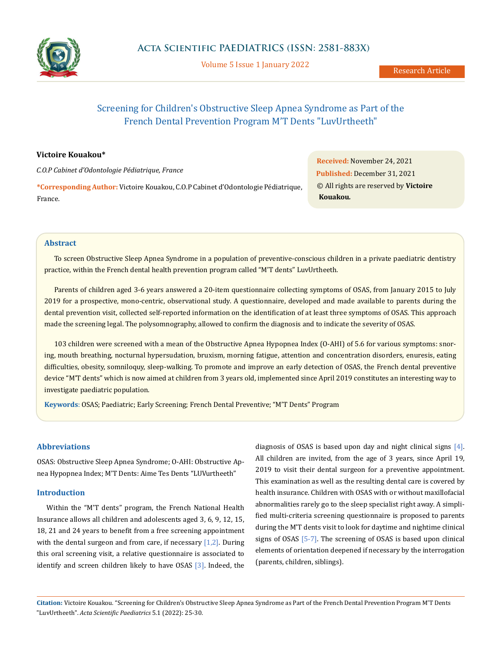

Volume 5 Issue 1 January 2022

# Screening for Children's Obstructive Sleep Apnea Syndrome as Part of the French Dental Prevention Program M'T Dents "LuvUrtheeth"

# **Victoire Kouakou\***

*C.O.P Cabinet d'Odontologie Pédiatrique, France* **\*Corresponding Author:** Victoire Kouakou, C.O.P Cabinet d'Odontologie Pédiatrique, France.

**Received:** November 24, 2021 **Published:** December 31, 2021 © All rights are reserved by **Victoire Kouakou***.*

### **Abstract**

To screen Obstructive Sleep Apnea Syndrome in a population of preventive-conscious children in a private paediatric dentistry practice, within the French dental health prevention program called "M'T dents" LuvUrtheeth.

Parents of children aged 3-6 years answered a 20-item questionnaire collecting symptoms of OSAS, from January 2015 to July 2019 for a prospective, mono-centric, observational study. A questionnaire, developed and made available to parents during the dental prevention visit, collected self-reported information on the identification of at least three symptoms of OSAS. This approach made the screening legal. The polysomnography, allowed to confirm the diagnosis and to indicate the severity of OSAS.

103 children were screened with a mean of the Obstructive Apnea Hypopnea Index (O-AHI) of 5.6 for various symptoms: snoring, mouth breathing, nocturnal hypersudation, bruxism, morning fatigue, attention and concentration disorders, enuresis, eating difficulties, obesity, somniloquy, sleep-walking. To promote and improve an early detection of OSAS, the French dental preventive device "M'T dents" which is now aimed at children from 3 years old, implemented since April 2019 constitutes an interesting way to investigate paediatric population.

**Keywords**: OSAS; Paediatric; Early Screening; French Dental Preventive; "M'T Dents" Program

# **Abbreviations**

OSAS: Obstructive Sleep Apnea Syndrome; O-AHI: Obstructive Apnea Hypopnea Index; M'T Dents: Aime Tes Dents "LUVurtheeth"

# **Introduction**

Within the "M'T dents" program, the French National Health Insurance allows all children and adolescents aged 3, 6, 9, 12, 15, 18, 21 and 24 years to benefit from a free screening appointment with the dental surgeon and from care, if necessary  $[1,2]$ . During this oral screening visit, a relative questionnaire is associated to identify and screen children likely to have OSAS [3]. Indeed, the diagnosis of OSAS is based upon day and night clinical signs [4]. All children are invited, from the age of 3 years, since April 19, 2019 to visit their dental surgeon for a preventive appointment. This examination as well as the resulting dental care is covered by health insurance. Children with OSAS with or without maxillofacial abnormalities rarely go to the sleep specialist right away. A simplified multi-criteria screening questionnaire is proposed to parents during the M'T dents visit to look for daytime and nightime clinical signs of OSAS [5-7]. The screening of OSAS is based upon clinical elements of orientation deepened if necessary by the interrogation (parents, children, siblings).

**Citation:** Victoire Kouakou*.* "Screening for Children's Obstructive Sleep Apnea Syndrome as Part of the French Dental Prevention Program M'T Dents "LuvUrtheeth". *Acta Scientific Paediatrics* 5.1 (2022): 25-30.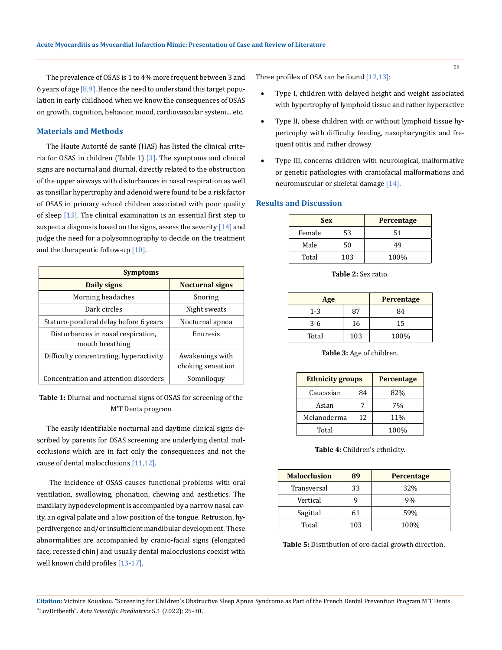The prevalence of OSAS is 1 to 4% more frequent between 3 and 6 years of age  $[8,9]$ . Hence the need to understand this target population in early childhood when we know the consequences of OSAS on growth, cognition, behavior, mood, cardiovascular system... etc.

### **Materials and Methods**

The Haute Autorité de santé (HAS) has listed the clinical criteria for OSAS in children (Table 1)  $[3]$ . The symptoms and clinical signs are nocturnal and diurnal, directly related to the obstruction of the upper airways with disturbances in nasal respiration as well as tonsillar hypertrophy and adenoid were found to be a risk factor of OSAS in primary school children associated with poor quality of sleep [13]. The clinical examination is an essential first step to suspect a diagnosis based on the signs, assess the severity  $[14]$  and judge the need for a polysomnography to decide on the treatment and the therapeutic follow-up [10].

| <b>Symptoms</b>                                       |                                      |  |
|-------------------------------------------------------|--------------------------------------|--|
| Daily signs                                           | <b>Nocturnal signs</b>               |  |
| Morning headaches                                     | Snoring                              |  |
| Dark circles                                          | Night sweats                         |  |
| Staturo-ponderal delay before 6 years                 | Nocturnal apnea                      |  |
| Disturbances in nasal respiration,<br>mouth breathing | Enuresis                             |  |
| Difficulty concentrating, hyperactivity               | Awakenings with<br>choking sensation |  |
| Concentration and attention disorders                 | Somniloquy                           |  |

**Table 1:** Diurnal and nocturnal signs of OSAS for screening of the M'T Dents program

The easily identifiable nocturnal and daytime clinical signs described by parents for OSAS screening are underlying dental malocclusions which are in fact only the consequences and not the cause of dental malocclusions [11,12].

 The incidence of OSAS causes functional problems with oral ventilation, swallowing, phonation, chewing and aesthetics. The maxillary hypodevelopment is accompanied by a narrow nasal cavity, an ogival palate and a low position of the tongue. Retrusion, hyperdivergence and/or insufficient mandibular development. These abnormalities are accompanied by cranio-facial signs (elongated face, recessed chin) and usually dental malocclusions coexist with well known child profiles [13-17].

Three profiles of OSA can be found [12,13]:

- Type I, children with delayed height and weight associated with hypertrophy of lymphoid tissue and rather hyperactive
- Type II, obese children with or without lymphoid tissue hypertrophy with difficulty feeding, nasopharyngitis and frequent otitis and rather drowsy
- Type III, concerns children with neurological, malformative or genetic pathologies with craniofacial malformations and neuromuscular or skeletal damage [14].

#### **Results and Discussion**

| <b>Sex</b> |     | Percentage |
|------------|-----|------------|
| Female     | 53  | 51         |
| Male       | 50  | 49         |
| Total      | 103 | 100%       |

**Table 2:** Sex ratio.

| Age     |     | <b>Percentage</b> |
|---------|-----|-------------------|
| $1 - 3$ | 87  | 84                |
| $3-6$   | 16  | 15                |
| Total   | 103 | 100%              |

**Table 3:** Age of children.

| <b>Ethnicity groups</b> |    | <b>Percentage</b> |
|-------------------------|----|-------------------|
| Caucasian               | 84 | 82%               |
| Asian                   | 7  | 7%                |
| Melanoderma             | 12 | 11%               |
| Total                   |    | 100%              |

#### **Table 4:** Children's ethnicity.

| <b>Malocclusion</b> | 89  | <b>Percentage</b> |
|---------------------|-----|-------------------|
| Transversal         | 33  | 32%               |
| Vertical            |     | 9%                |
| Sagittal            | 61  | 59%               |
| Total               | 103 | 100%              |

**Table 5:** Distribution of oro-facial growth direction.

**Citation:** Victoire Kouakou*.* "Screening for Children's Obstructive Sleep Apnea Syndrome as Part of the French Dental Prevention Program M'T Dents "LuvUrtheeth". *Acta Scientific Paediatrics* 5.1 (2022): 25-30.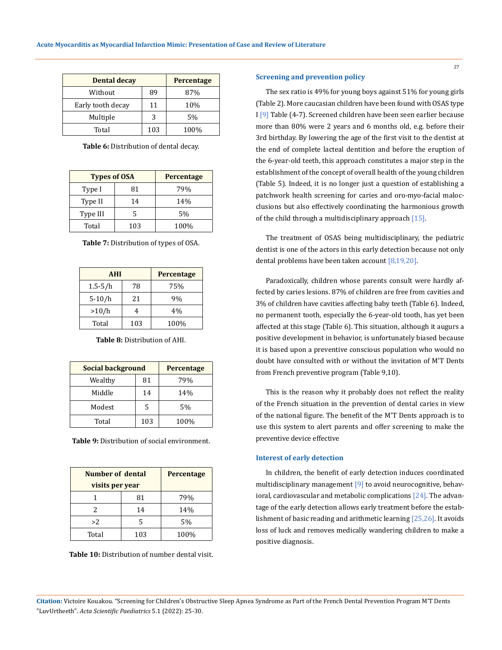| <b>Dental decay</b> |     | <b>Percentage</b> |
|---------------------|-----|-------------------|
| Without             | 89  | 87%               |
| Early tooth decay   | 11  | 10%               |
| Multiple            | 3   | 5%                |
| Total               | 103 | 100%              |

**Table 6:** Distribution of dental decay.

| <b>Types of OSA</b> |     | <b>Percentage</b> |
|---------------------|-----|-------------------|
| Type I              | 81  | 79%               |
| Type II             | 14  | 14%               |
| Type III            | 5   | 5%                |
| Total               | 103 | 100%              |

**Table 7:** Distribution of types of OSA.

| <b>AHI</b>  |     | <b>Percentage</b> |
|-------------|-----|-------------------|
| $1.5 - 5/h$ | 78  | 75%               |
| $5-10/h$    | 2.1 | 9%                |
| >10/h       |     | 4%                |
| Total       | 103 | 100%              |

**Table 8:** Distribution of AHI.

| <b>Social background</b> |     | <b>Percentage</b> |
|--------------------------|-----|-------------------|
| Wealthy                  | 81  | 79%               |
| Middle                   | 14  | 14%               |
| Modest                   | 5   | 5%                |
| Total                    | 103 | 100%              |

**Table 9:** Distribution of social environment.

| Number of dental |     | Percentage |
|------------------|-----|------------|
| visits per year  |     |            |
|                  | 81  | 79%        |
| 2                | 14  | 14%        |
| >2               | 5   | 5%         |
| Total            | 103 | 100%       |

**Table 10:** Distribution of number dental visit.

#### **Screening and prevention policy**

The sex ratio is 49% for young boys against 51% for young girls (Table 2). More caucasian children have been found with OSAS type I [9] Table (4-7). Screened children have been seen earlier because more than 80% were 2 years and 6 months old, e.g. before their 3rd birthday. By lowering the age of the first visit to the dentist at the end of complete lacteal dentition and before the eruption of the 6-year-old teeth, this approach constitutes a major step in the establishment of the concept of overall health of the young children (Table 5). Indeed, it is no longer just a question of establishing a patchwork health screening for caries and oro-myo-facial malocclusions but also effectively coordinating the harmonious growth of the child through a multidisciplinary approach  $[15]$ .

The treatment of OSAS being multidisciplinary, the pediatric dentist is one of the actors in this early detection because not only dental problems have been taken account [8,19,20].

Paradoxically, children whose parents consult were hardly affected by caries lesions. 87% of children are free from cavities and 3% of children have cavities affecting baby teeth (Table 6). Indeed, no permanent tooth, especially the 6-year-old tooth, has yet been affected at this stage (Table 6). This situation, although it augurs a positive development in behavior, is unfortunately biased because it is based upon a preventive conscious population who would no doubt have consulted with or without the invitation of M'T Dents from French preventive program (Table 9,10).

This is the reason why it probably does not reflect the reality of the French situation in the prevention of dental caries in view of the national figure. The benefit of the M'T Dents approach is to use this system to alert parents and offer screening to make the preventive device effective

#### **Interest of early detection**

In children, the benefit of early detection induces coordinated multidisciplinary management  $[9]$  to avoid neurocognitive, behavioral, cardiovascular and metabolic complications  $[24]$ . The advantage of the early detection allows early treatment before the establishment of basic reading and arithmetic learning [25,26]. It avoids loss of luck and removes medically wandering children to make a positive diagnosis.

27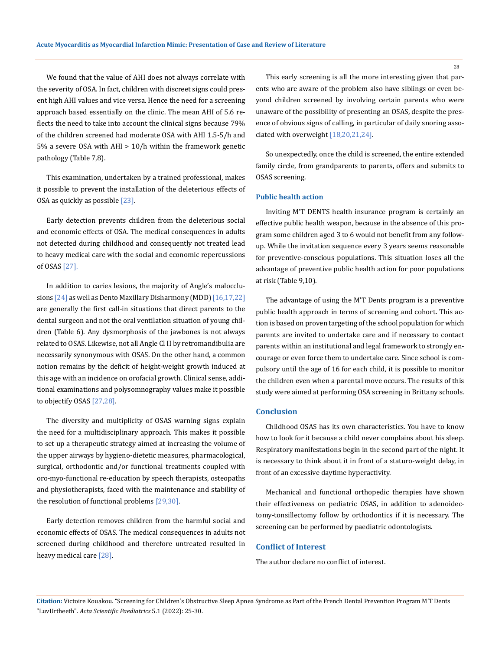We found that the value of AHI does not always correlate with the severity of OSA. In fact, children with discreet signs could present high AHI values and vice versa. Hence the need for a screening approach based essentially on the clinic. The mean AHI of 5.6 reflects the need to take into account the clinical signs because 79% of the children screened had moderate OSA with AHI 1.5-5/h and 5% a severe OSA with AHI > 10/h within the framework genetic pathology (Table 7,8).

This examination, undertaken by a trained professional, makes it possible to prevent the installation of the deleterious effects of OSA as quickly as possible [23].

Early detection prevents children from the deleterious social and economic effects of OSA. The medical consequences in adults not detected during childhood and consequently not treated lead to heavy medical care with the social and economic repercussions of OSAS [27].

In addition to caries lesions, the majority of Angle's malocclusions [24] as well as Dento Maxillary Disharmony (MDD) [16,17,22] are generally the first call-in situations that direct parents to the dental surgeon and not the oral ventilation situation of young children (Table 6). Any dysmorphosis of the jawbones is not always related to OSAS. Likewise, not all Angle Cl II by retromandibulia are necessarily synonymous with OSAS. On the other hand, a common notion remains by the deficit of height-weight growth induced at this age with an incidence on orofacial growth. Clinical sense, additional examinations and polysomnography values make it possible to objectify OSAS [27,28].

The diversity and multiplicity of OSAS warning signs explain the need for a multidisciplinary approach. This makes it possible to set up a therapeutic strategy aimed at increasing the volume of the upper airways by hygieno-dietetic measures, pharmacological, surgical, orthodontic and/or functional treatments coupled with oro-myo-functional re-education by speech therapists, osteopaths and physiotherapists, faced with the maintenance and stability of the resolution of functional problems [29,30].

Early detection removes children from the harmful social and economic effects of OSAS. The medical consequences in adults not screened during childhood and therefore untreated resulted in heavy medical care [28].

This early screening is all the more interesting given that parents who are aware of the problem also have siblings or even beyond children screened by involving certain parents who were unaware of the possibility of presenting an OSAS, despite the presence of obvious signs of calling, in particular of daily snoring associated with overweight [18,20,21,24].

So unexpectedly, once the child is screened, the entire extended family circle, from grandparents to parents, offers and submits to OSAS screening.

#### **Public health action**

Inviting M'T DENTS health insurance program is certainly an effective public health weapon, because in the absence of this program some children aged 3 to 6 would not benefit from any followup. While the invitation sequence every 3 years seems reasonable for preventive-conscious populations. This situation loses all the advantage of preventive public health action for poor populations at risk (Table 9,10).

The advantage of using the M'T Dents program is a preventive public health approach in terms of screening and cohort. This action is based on proven targeting of the school population for which parents are invited to undertake care and if necessary to contact parents within an institutional and legal framework to strongly encourage or even force them to undertake care. Since school is compulsory until the age of 16 for each child, it is possible to monitor the children even when a parental move occurs. The results of this study were aimed at performing OSA screening in Brittany schools.

#### **Conclusion**

Childhood OSAS has its own characteristics. You have to know how to look for it because a child never complains about his sleep. Respiratory manifestations begin in the second part of the night. It is necessary to think about it in front of a staturo-weight delay, in front of an excessive daytime hyperactivity.

Mechanical and functional orthopedic therapies have shown their effectiveness on pediatric OSAS, in addition to adenoidectomy-tonsillectomy follow by orthodontics if it is necessary. The screening can be performed by paediatric odontologists.

#### **Conflict of Interest**

The author declare no conflict of interest.

**Citation:** Victoire Kouakou*.* "Screening for Children's Obstructive Sleep Apnea Syndrome as Part of the French Dental Prevention Program M'T Dents "LuvUrtheeth". *Acta Scientific Paediatrics* 5.1 (2022): 25-30.

28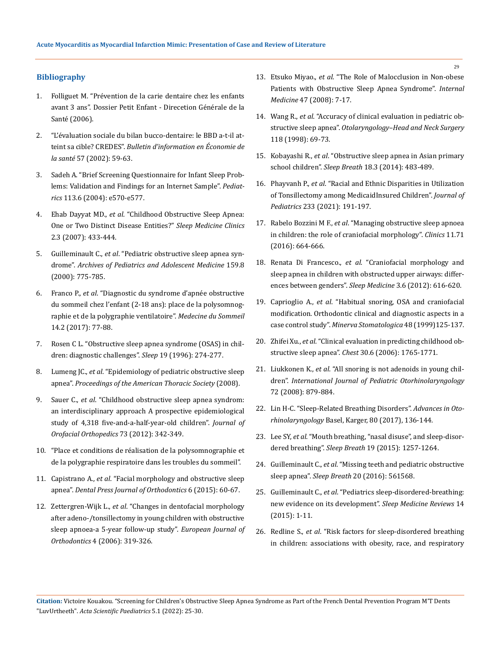#### **Bibliography**

- 1. Folliguet M. "Prévention de la carie dentaire chez les enfants avant 3 ans". Dossier Petit Enfant - Direcetion Générale de la Santé (2006).
- 2. ["L'évaluation sociale du bilan bucco-dentaire: le BBD a-t-il at](https://www.irdes.fr/Publications/Qes/Qes57.pdf)teint sa cible? CREDES". *[Bulletin d'information en Économie de](https://www.irdes.fr/Publications/Qes/Qes57.pdf)  la santé* [57 \(2002\): 59-63.](https://www.irdes.fr/Publications/Qes/Qes57.pdf)
- 3. [Sadeh A. "Brief Screening Questionnaire for Infant Sleep Prob](https://pubmed.ncbi.nlm.nih.gov/15173539/)[lems: Validation and Findings for an Internet Sample".](https://pubmed.ncbi.nlm.nih.gov/15173539/) *Pediatrics* [113.6 \(2004\): e570-e577.](https://pubmed.ncbi.nlm.nih.gov/15173539/)
- 4. Ehab Dayyat MD., *et al*[. "Childhood Obstructive Sleep Apnea:](https://www.ncbi.nlm.nih.gov/pmc/articles/PMC2084206/)  [One or Two Distinct Disease Entities?"](https://www.ncbi.nlm.nih.gov/pmc/articles/PMC2084206/) *Sleep Medicine Clinics* [2.3 \(2007\): 433-444.](https://www.ncbi.nlm.nih.gov/pmc/articles/PMC2084206/)
- 5. Guilleminault C., *et al*. "Pediatric obstructive sleep apnea syndrome". *Archives of Pediatrics and Adolescent Medicine* 159.8 (2000): 775-785.
- 6. Franco P., *et al*[. "Diagnostic du syndrome d'apnée obstructive](https://www.sciencedirect.com/science/article/abs/pii/S0929693X16304663)  [du sommeil chez l'enfant \(2-18 ans\): place de la polysomnog](https://www.sciencedirect.com/science/article/abs/pii/S0929693X16304663)[raphie et de la polygraphie ventilatoire".](https://www.sciencedirect.com/science/article/abs/pii/S0929693X16304663) *Medecine du Sommeil* [14.2 \(2017\): 77-88.](https://www.sciencedirect.com/science/article/abs/pii/S0929693X16304663)
- 7. [Rosen C L. "Obstructive sleep apnea syndrome \(OSAS\) in chil](https://watermark.silverchair.com/sleep-19-suppl_10-S274.pdf?token=AQECAHi208BE49Ooan9kkhW_Ercy7Dm3ZL_9Cf3qfKAc485ysgAAAu4wggLqBgkqhkiG9w0BBwagggLbMIIC1wIBADCCAtAGCSqGSIb3DQEHATAeBglghkgBZQMEAS4wEQQMpUcKevNmaUHtT-7ZAgEQgIICoSjTxvb-5kuVo23btaHeR7-7mZnHLyxkbY5e6EpMO0R3q78TMtjr5b-VPDId36gT8neh-L4Lz-TpuUvlEQLPJqpb4m51uIHA_JlxoxbnPv2aj47x6cDqR4ZzV_uOgPEILCCV386ns8MfOXD4Kr1SuzwKs5pZNSL4yEOGLlsFOE0bVgI3AnMjSMhtIw64ywFP1_ZGz-dXqZsiDFANOqKDpv3dltO5LimmrAuJF5izUFdaZajk6Kl3hEOLM0ZX18AXpdqVqaJlTOp_r0x8eXyPdw0L6BmCvRHSrf6SD9BEHHUlAy26DT1RoJdLtktES6S3dTSagM8EEnoUsgc_cAJr5egIsgFV2yIhBE4O4I3pzfkaGjUng65Gei_HieSa1nzcq0mGMEU33pvMgiKn0VrHuY-IwMnC6qh7L_UsEKJWULhpylGsLNoe6M4JLn9T-VlrZbNL_7G_ICdmHXKP3fyP0zgt9va5Z_5EzrG1kowsu1EJJ4Og4usC3kFpfLQa224C8lyZtw72RU83YC2r_-6u4FcovePTTqhmMevFU53RcMzcqLsAY45N7RUGYRGDMix8FbMUimGAYxrfMjxkQFia0Gp4k34EdW05_sJnEiOTfyi0s9Ok4JiamTV9ggV0sm_xj9opie1I4V05uSVDKoS9B9PlzVoOX-SE-hauChWxQLALaZwsiO-yAW9mnEOgkpq8dpTz-E_SbnpS3aE0E7PR9JqMnfZlewj3K5_BesW8MyjUp88RgC-9GChYWAOmi0ZObd4RJ2Gq_C3Z1zL2sgD2xgztQIiIPaFBSl1TZ5GK2JD3iKsMSN9M0rXw2K1Cem-XmY8ujqGce2S7ZNmdIq_kEw-oPpCLWrX0pPTuh9WDjMdJrRBvNmz4vOqEEb9CgKjj0mQ)[dren: diagnostic challenges".](https://watermark.silverchair.com/sleep-19-suppl_10-S274.pdf?token=AQECAHi208BE49Ooan9kkhW_Ercy7Dm3ZL_9Cf3qfKAc485ysgAAAu4wggLqBgkqhkiG9w0BBwagggLbMIIC1wIBADCCAtAGCSqGSIb3DQEHATAeBglghkgBZQMEAS4wEQQMpUcKevNmaUHtT-7ZAgEQgIICoSjTxvb-5kuVo23btaHeR7-7mZnHLyxkbY5e6EpMO0R3q78TMtjr5b-VPDId36gT8neh-L4Lz-TpuUvlEQLPJqpb4m51uIHA_JlxoxbnPv2aj47x6cDqR4ZzV_uOgPEILCCV386ns8MfOXD4Kr1SuzwKs5pZNSL4yEOGLlsFOE0bVgI3AnMjSMhtIw64ywFP1_ZGz-dXqZsiDFANOqKDpv3dltO5LimmrAuJF5izUFdaZajk6Kl3hEOLM0ZX18AXpdqVqaJlTOp_r0x8eXyPdw0L6BmCvRHSrf6SD9BEHHUlAy26DT1RoJdLtktES6S3dTSagM8EEnoUsgc_cAJr5egIsgFV2yIhBE4O4I3pzfkaGjUng65Gei_HieSa1nzcq0mGMEU33pvMgiKn0VrHuY-IwMnC6qh7L_UsEKJWULhpylGsLNoe6M4JLn9T-VlrZbNL_7G_ICdmHXKP3fyP0zgt9va5Z_5EzrG1kowsu1EJJ4Og4usC3kFpfLQa224C8lyZtw72RU83YC2r_-6u4FcovePTTqhmMevFU53RcMzcqLsAY45N7RUGYRGDMix8FbMUimGAYxrfMjxkQFia0Gp4k34EdW05_sJnEiOTfyi0s9Ok4JiamTV9ggV0sm_xj9opie1I4V05uSVDKoS9B9PlzVoOX-SE-hauChWxQLALaZwsiO-yAW9mnEOgkpq8dpTz-E_SbnpS3aE0E7PR9JqMnfZlewj3K5_BesW8MyjUp88RgC-9GChYWAOmi0ZObd4RJ2Gq_C3Z1zL2sgD2xgztQIiIPaFBSl1TZ5GK2JD3iKsMSN9M0rXw2K1Cem-XmY8ujqGce2S7ZNmdIq_kEw-oPpCLWrX0pPTuh9WDjMdJrRBvNmz4vOqEEb9CgKjj0mQ) *Sleep* 19 (1996): 274-277.
- 8. Lumeng JC., *et al*[. "Epidemiology of pediatric obstructive sleep](https://www.ncbi.nlm.nih.gov/pmc/articles/PMC2645255/)  apnea". *[Proceedings of the American Thoracic Society](https://www.ncbi.nlm.nih.gov/pmc/articles/PMC2645255/)* (2008).
- 9. Sauer C., *et al*[. "Childhood obstructive sleep apnea syndrom:](https://pubmed.ncbi.nlm.nih.gov/22874975/)  [an interdisciplinary approach A prospective epidemiological](https://pubmed.ncbi.nlm.nih.gov/22874975/)  [study of 4,318 five-and-a-half-year-old children".](https://pubmed.ncbi.nlm.nih.gov/22874975/) *Journal of [Orofacial Orthopedics](https://pubmed.ncbi.nlm.nih.gov/22874975/)* 73 (2012): 342-349.
- 10. "Place et conditions de réalisation de la polysomnographie et de la polygraphie respiratoire dans les troubles du sommeil".
- 11. Capistrano A., *et al*[. "Facial morphology and obstructive sleep](https://pubmed.ncbi.nlm.nih.gov/3098087/)  apnea". *[Dental Press Journal of Orthodontics](https://pubmed.ncbi.nlm.nih.gov/3098087/)* 6 (2015): 60-67.
- 12. Zettergren-Wijk L., *et al*[. "Changes in dentofacial morphology](https://pubmed.ncbi.nlm.nih.gov/16648209/)  [after adeno-/tonsillectomy in young children with obstructive](https://pubmed.ncbi.nlm.nih.gov/16648209/)  [sleep apnoea-a 5-year follow-up study".](https://pubmed.ncbi.nlm.nih.gov/16648209/) *European Journal of Orthodontics* [4 \(2006\): 319-326.](https://pubmed.ncbi.nlm.nih.gov/16648209/)
- 13. Etsuko Miyao., *et al*[. "The Role of Malocclusion in Non-obese](https://pubmed.ncbi.nlm.nih.gov/18797115/)  [Patients with Obstructive Sleep Apnea Syndrome".](https://pubmed.ncbi.nlm.nih.gov/18797115/) *Internal Medicine* [47 \(2008\): 7-17.](https://pubmed.ncbi.nlm.nih.gov/18797115/)
- 14. Wang R., *et al*[. "Accuracy of clinical evaluation in pediatric ob](https://pubmed.ncbi.nlm.nih.gov/9450831/)structive sleep apnea". *[Otolaryngology–Head and Neck Surgery](https://pubmed.ncbi.nlm.nih.gov/9450831/)*  [118 \(1998\): 69-73.](https://pubmed.ncbi.nlm.nih.gov/9450831/)
- 15. Kobayashi R., *et al*[. "Obstructive sleep apnea in Asian primary](https://pubmed.ncbi.nlm.nih.gov/24258662/)  school children". *Sleep Breath* [18.3 \(2014\): 483-489.](https://pubmed.ncbi.nlm.nih.gov/24258662/)
- 16. Phayvanh P., *et al*[. "Racial and Ethnic Disparities in Utilization](https://pubmed.ncbi.nlm.nih.gov/33548260/)  [of Tonsillectomy among MedicaidInsured Children".](https://pubmed.ncbi.nlm.nih.gov/33548260/) *Journal of Pediatrics* [233 \(2021\): 191-197.](https://pubmed.ncbi.nlm.nih.gov/33548260/)
- 17. Rabelo Bozzini M F., *et al*[. "Managing obstructive sleep apnoea](https://www.ncbi.nlm.nih.gov/pmc/articles/PMC5108167/)  [in children: the role of craniofacial morphology".](https://www.ncbi.nlm.nih.gov/pmc/articles/PMC5108167/) *Clinics* 11.71 [\(2016\): 664-666.](https://www.ncbi.nlm.nih.gov/pmc/articles/PMC5108167/)
- 18. Renata Di Francesco., *et al*[. "Craniofacial morphology and](https://pubmed.ncbi.nlm.nih.gov/22459090/)  [sleep apnea in children with obstructed upper airways: differ](https://pubmed.ncbi.nlm.nih.gov/22459090/)[ences between genders".](https://pubmed.ncbi.nlm.nih.gov/22459090/) *Sleep Medicine* 3.6 (2012): 616-620.
- 19. Caprioglio A., *et al*[. "Habitual snoring, OSA and craniofacial](https://pubmed.ncbi.nlm.nih.gov/10431534/)  [modification. Orthodontic clinical and diagnostic aspects in a](https://pubmed.ncbi.nlm.nih.gov/10431534/)  case control study". *[Minerva Stomatologica](https://pubmed.ncbi.nlm.nih.gov/10431534/)* 48 (1999)125-137.
- 20. Zhifei Xu., *et al*[. "Clinical evaluation in predicting childhood ob](https://pubmed.ncbi.nlm.nih.gov/17166994/)structive sleep apnea". *Chest* [30.6 \(2006\): 1765-1771.](https://pubmed.ncbi.nlm.nih.gov/17166994/)
- 21. Liukkonen K., *et al*[. "All snoring is not adenoids in young chil](https://pubmed.ncbi.nlm.nih.gov/18400311/)dren". *[International Journal of Pediatric Otorhinolaryngology](https://pubmed.ncbi.nlm.nih.gov/18400311/)*  [72 \(2008\): 879-884.](https://pubmed.ncbi.nlm.nih.gov/18400311/)
- 22. Lin H-C. "Sleep-Related Breathing Disorders". *Advances in Otorhinolaryngology* Basel, Karger, 80 (2017), 136-144.
- 23. Lee SY, *et al*[. "Mouth breathing, "nasal disuse", and sleep-disor](https://pubmed.ncbi.nlm.nih.gov/25877805/)dered breathing". *Sleep Breath* [19 \(2015\): 1257-1264.](https://pubmed.ncbi.nlm.nih.gov/25877805/)
- 24. Guilleminault C., *et al*[. "Missing teeth and pediatric obstructive](https://pubmed.ncbi.nlm.nih.gov/26330227/)  sleep apnea". *Sleep Breath* [20 \(2016\): 561568.](https://pubmed.ncbi.nlm.nih.gov/26330227/)
- 25. Guilleminault C., *et al*[. "Pediatrics sleep-disordered-breathing:](https://pubmed.ncbi.nlm.nih.gov/26500024/)  [new evidence on its development".](https://pubmed.ncbi.nlm.nih.gov/26500024/) *Sleep Medicine Reviews* 14 [\(2015\): 1-11.](https://pubmed.ncbi.nlm.nih.gov/26500024/)
- 26. Redline S., *et al*[. "Risk factors for sleep-disordered breathing](https://pubmed.ncbi.nlm.nih.gov/10228121/)  [in children: associations with obesity, race, and respiratory](https://pubmed.ncbi.nlm.nih.gov/10228121/)

29